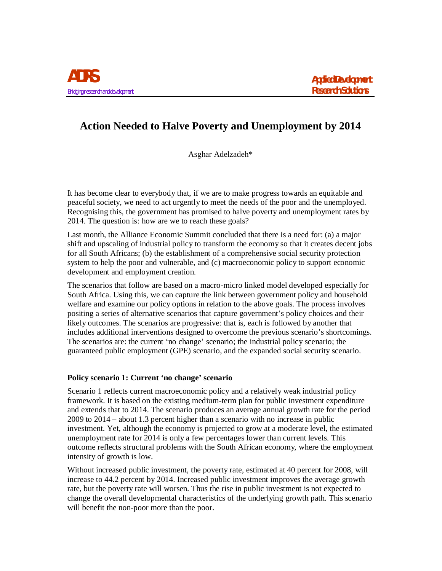# **Action Needed to Halve Poverty and Unemployment by 2014**

Asghar Adelzadeh\*

It has become clear to everybody that, if we are to make progress towards an equitable and peaceful society, we need to act urgently to meet the needs of the poor and the unemployed. Recognising this, the government has promised to halve poverty and unemployment rates by 2014. The question is: how are we to reach these goals?

Last month, the Alliance Economic Summit concluded that there is a need for: (a) a major shift and upscaling of industrial policy to transform the economy so that it creates decent jobs for all South Africans; (b) the establishment of a comprehensive social security protection system to help the poor and vulnerable, and (c) macroeconomic policy to support economic development and employment creation.

The scenarios that follow are based on a macro-micro linked model developed especially for South Africa. Using this, we can capture the link between government policy and household welfare and examine our policy options in relation to the above goals. The process involves positing a series of alternative scenarios that capture government's policy choices and their likely outcomes. The scenarios are progressive: that is, each is followed by another that includes additional interventions designed to overcome the previous scenario's shortcomings. The scenarios are: the current 'no change' scenario; the industrial policy scenario; the guaranteed public employment (GPE) scenario, and the expanded social security scenario.

# **Policy scenario 1: Current 'no change' scenario**

Scenario 1 reflects current macroeconomic policy and a relatively weak industrial policy framework. It is based on the existing medium-term plan for public investment expenditure and extends that to 2014. The scenario produces an average annual growth rate for the period 2009 to 2014 – about 1.3 percent higher than a scenario with no increase in public investment. Yet, although the economy is projected to grow at a moderate level, the estimated unemployment rate for 2014 is only a few percentages lower than current levels. This outcome reflects structural problems with the South African economy, where the employment intensity of growth is low.

Without increased public investment, the poverty rate, estimated at 40 percent for 2008, will increase to 44.2 percent by 2014. Increased public investment improves the average growth rate, but the poverty rate will worsen. Thus the rise in public investment is not expected to change the overall developmental characteristics of the underlying growth path. This scenario will benefit the non-poor more than the poor.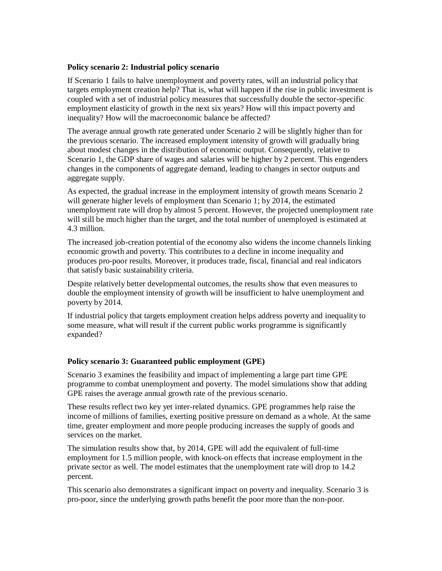## **Policy scenario 2: Industrial policy scenario**

If Scenario 1 fails to halve unemployment and poverty rates, will an industrial policy that targets employment creation help? That is, what will happen if the rise in public investment is coupled with a set of industrial policy measures that successfully double the sector-specific employment elasticity of growth in the next six years? How will this impact poverty and inequality? How will the macroeconomic balance be affected?

The average annual growth rate generated under Scenario 2 will be slightly higher than for the previous scenario. The increased employment intensity of growth will gradually bring about modest changes in the distribution of economic output. Consequently, relative to Scenario 1, the GDP share of wages and salaries will be higher by 2 percent. This engenders changes in the components of aggregate demand, leading to changes in sector outputs and aggregate supply.

As expected, the gradual increase in the employment intensity of growth means Scenario 2 will generate higher levels of employment than Scenario 1; by 2014, the estimated unemployment rate will drop by almost 5 percent. However, the projected unemployment rate will still be much higher than the target, and the total number of unemployed is estimated at 4.3 million.

The increased job-creation potential of the economy also widens the income channels linking economic growth and poverty. This contributes to a decline in income inequality and produces pro-poor results. Moreover, it produces trade, fiscal, financial and real indicators that satisfy basic sustainability criteria.

Despite relatively better developmental outcomes, the results show that even measures to double the employment intensity of growth will be insufficient to halve unemployment and poverty by 2014.

If industrial policy that targets employment creation helps address poverty and inequality to some measure, what will result if the current public works programme is significantly expanded?

## **Policy scenario 3: Guaranteed public employment (GPE)**

Scenario 3 examines the feasibility and impact of implementing a large part time GPE programme to combat unemployment and poverty. The model simulations show that adding GPE raises the average annual growth rate of the previous scenario.

These results reflect two key yet inter-related dynamics. GPE programmes help raise the income of millions of families, exerting positive pressure on demand as a whole. At the same time, greater employment and more people producing increases the supply of goods and services on the market.

The simulation results show that, by 2014, GPE will add the equivalent of full-time employment for 1.5 million people, with knock-on effects that increase employment in the private sector as well. The model estimates that the unemployment rate will drop to 14.2 percent.

This scenario also demonstrates a significant impact on poverty and inequality. Scenario 3 is pro-poor, since the underlying growth paths benefit the poor more than the non-poor.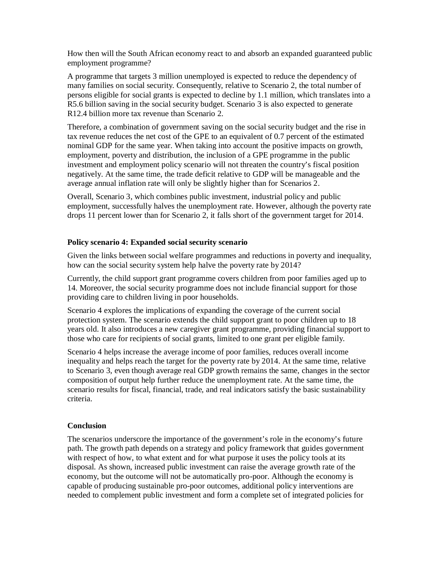How then will the South African economy react to and absorb an expanded guaranteed public employment programme?

A programme that targets 3 million unemployed is expected to reduce the dependency of many families on social security. Consequently, relative to Scenario 2, the total number of persons eligible for social grants is expected to decline by 1.1 million, which translates into a R5.6 billion saving in the social security budget. Scenario 3 is also expected to generate R12.4 billion more tax revenue than Scenario 2.

Therefore, a combination of government saving on the social security budget and the rise in tax revenue reduces the net cost of the GPE to an equivalent of 0.7 percent of the estimated nominal GDP for the same year. When taking into account the positive impacts on growth, employment, poverty and distribution, the inclusion of a GPE programme in the public investment and employment policy scenario will not threaten the country's fiscal position negatively. At the same time, the trade deficit relative to GDP will be manageable and the average annual inflation rate will only be slightly higher than for Scenarios 2.

Overall, Scenario 3, which combines public investment, industrial policy and public employment, successfully halves the unemployment rate. However, although the poverty rate drops 11 percent lower than for Scenario 2, it falls short of the government target for 2014.

#### **Policy scenario 4: Expanded social security scenario**

Given the links between social welfare programmes and reductions in poverty and inequality, how can the social security system help halve the poverty rate by 2014?

Currently, the child support grant programme covers children from poor families aged up to 14. Moreover, the social security programme does not include financial support for those providing care to children living in poor households.

Scenario 4 explores the implications of expanding the coverage of the current social protection system. The scenario extends the child support grant to poor children up to 18 years old. It also introduces a new caregiver grant programme, providing financial support to those who care for recipients of social grants, limited to one grant per eligible family.

Scenario 4 helps increase the average income of poor families, reduces overall income inequality and helps reach the target for the poverty rate by 2014. At the same time, relative to Scenario 3, even though average real GDP growth remains the same, changes in the sector composition of output help further reduce the unemployment rate. At the same time, the scenario results for fiscal, financial, trade, and real indicators satisfy the basic sustainability criteria.

#### **Conclusion**

The scenarios underscore the importance of the government's role in the economy's future path. The growth path depends on a strategy and policy framework that guides government with respect of how, to what extent and for what purpose it uses the policy tools at its disposal. As shown, increased public investment can raise the average growth rate of the economy, but the outcome will not be automatically pro-poor. Although the economy is capable of producing sustainable pro-poor outcomes, additional policy interventions are needed to complement public investment and form a complete set of integrated policies for